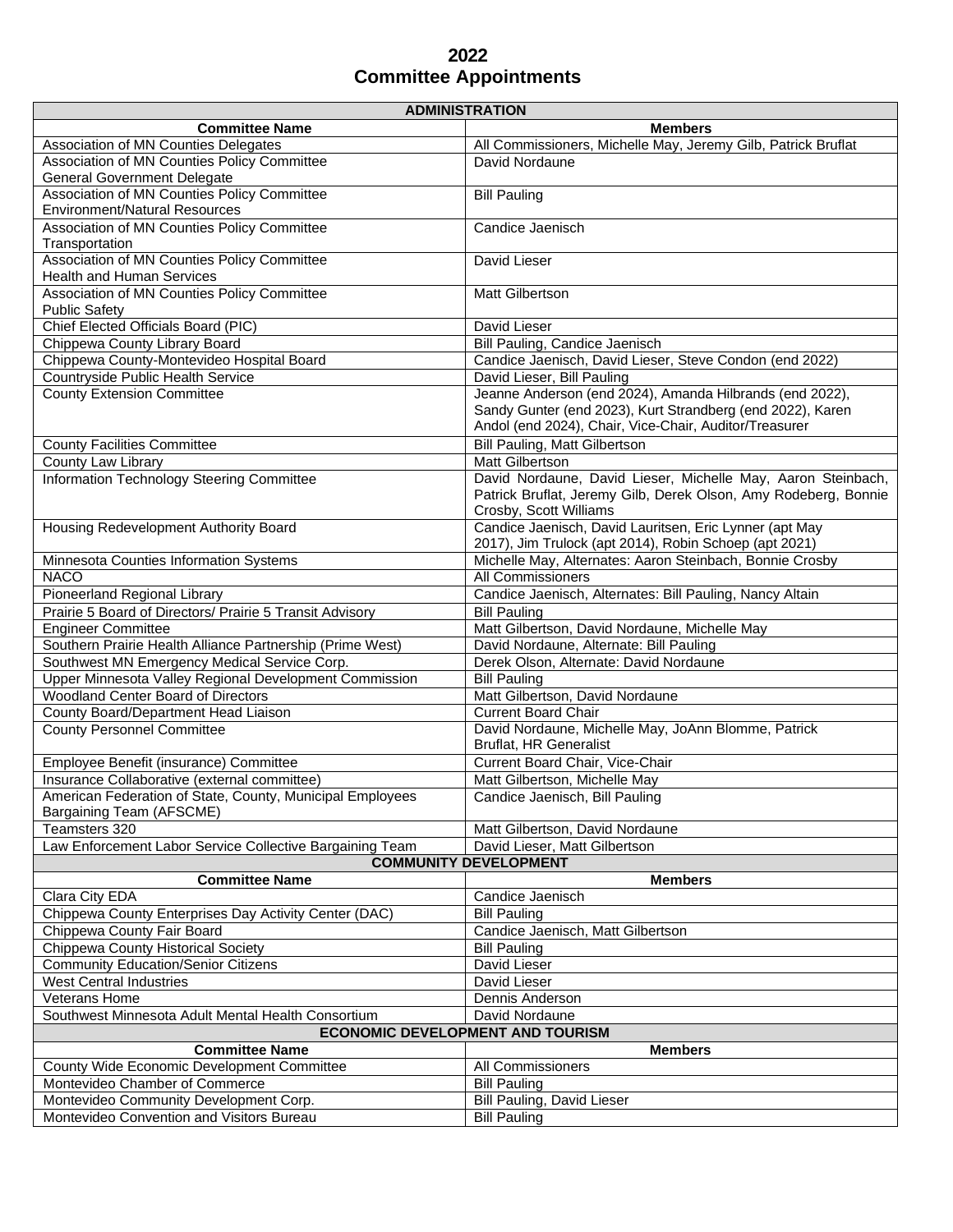## **2022 Committee Appointments**

| <b>ADMINISTRATION</b>                                                                 |                                                                                                                                                           |
|---------------------------------------------------------------------------------------|-----------------------------------------------------------------------------------------------------------------------------------------------------------|
| <b>Committee Name</b>                                                                 | <b>Members</b>                                                                                                                                            |
| Association of MN Counties Delegates                                                  | All Commissioners, Michelle May, Jeremy Gilb, Patrick Bruflat                                                                                             |
| Association of MN Counties Policy Committee                                           | David Nordaune                                                                                                                                            |
| <b>General Government Delegate</b>                                                    |                                                                                                                                                           |
| Association of MN Counties Policy Committee<br><b>Environment/Natural Resources</b>   | <b>Bill Pauling</b>                                                                                                                                       |
| Association of MN Counties Policy Committee<br>Transportation                         | Candice Jaenisch                                                                                                                                          |
| Association of MN Counties Policy Committee<br><b>Health and Human Services</b>       | David Lieser                                                                                                                                              |
| Association of MN Counties Policy Committee<br><b>Public Safety</b>                   | Matt Gilbertson                                                                                                                                           |
| Chief Elected Officials Board (PIC)                                                   | David Lieser                                                                                                                                              |
| Chippewa County Library Board                                                         | Bill Pauling, Candice Jaenisch                                                                                                                            |
| Chippewa County-Montevideo Hospital Board                                             | Candice Jaenisch, David Lieser, Steve Condon (end 2022)                                                                                                   |
| Countryside Public Health Service                                                     | David Lieser, Bill Pauling                                                                                                                                |
| <b>County Extension Committee</b>                                                     | Jeanne Anderson (end 2024), Amanda Hilbrands (end 2022),                                                                                                  |
|                                                                                       | Sandy Gunter (end 2023), Kurt Strandberg (end 2022), Karen<br>Andol (end 2024), Chair, Vice-Chair, Auditor/Treasurer                                      |
| <b>County Facilities Committee</b>                                                    | <b>Bill Pauling, Matt Gilbertson</b>                                                                                                                      |
| County Law Library                                                                    | <b>Matt Gilbertson</b>                                                                                                                                    |
| Information Technology Steering Committee                                             | David Nordaune, David Lieser, Michelle May, Aaron Steinbach,<br>Patrick Bruflat, Jeremy Gilb, Derek Olson, Amy Rodeberg, Bonnie<br>Crosby, Scott Williams |
| Housing Redevelopment Authority Board                                                 | Candice Jaenisch, David Lauritsen, Eric Lynner (apt May<br>2017), Jim Trulock (apt 2014), Robin Schoep (apt 2021)                                         |
| Minnesota Counties Information Systems                                                | Michelle May, Alternates: Aaron Steinbach, Bonnie Crosby                                                                                                  |
| <b>NACO</b>                                                                           | All Commissioners                                                                                                                                         |
| Pioneerland Regional Library                                                          | Candice Jaenisch, Alternates: Bill Pauling, Nancy Altain                                                                                                  |
| Prairie 5 Board of Directors/ Prairie 5 Transit Advisory                              | <b>Bill Pauling</b>                                                                                                                                       |
| <b>Engineer Committee</b>                                                             | Matt Gilbertson, David Nordaune, Michelle May                                                                                                             |
| Southern Prairie Health Alliance Partnership (Prime West)                             | David Nordaune, Alternate: Bill Pauling                                                                                                                   |
| Southwest MN Emergency Medical Service Corp.                                          | Derek Olson, Alternate: David Nordaune                                                                                                                    |
| Upper Minnesota Valley Regional Development Commission                                | <b>Bill Pauling</b>                                                                                                                                       |
| Woodland Center Board of Directors                                                    | Matt Gilbertson, David Nordaune                                                                                                                           |
| County Board/Department Head Liaison                                                  | <b>Current Board Chair</b>                                                                                                                                |
| <b>County Personnel Committee</b>                                                     | David Nordaune, Michelle May, JoAnn Blomme, Patrick<br><b>Bruflat, HR Generalist</b>                                                                      |
| Employee Benefit (insurance) Committee                                                | Current Board Chair, Vice-Chair                                                                                                                           |
| Insurance Collaborative (external committee)                                          | Matt Gilbertson, Michelle May                                                                                                                             |
| American Federation of State, County, Municipal Employees<br>Bargaining Team (AFSCME) | Candice Jaenisch, Bill Pauling                                                                                                                            |
| Teamsters 320                                                                         | Matt Gilbertson, David Nordaune                                                                                                                           |
| Law Enforcement Labor Service Collective Bargaining Team                              | David Lieser, Matt Gilbertson                                                                                                                             |
| <b>COMMUNITY DEVELOPMENT</b>                                                          |                                                                                                                                                           |
| <b>Committee Name</b>                                                                 | <b>Members</b>                                                                                                                                            |
| Clara City EDA                                                                        | Candice Jaenisch                                                                                                                                          |
| Chippewa County Enterprises Day Activity Center (DAC)                                 | <b>Bill Pauling</b>                                                                                                                                       |
| Chippewa County Fair Board                                                            | Candice Jaenisch, Matt Gilbertson                                                                                                                         |
| Chippewa County Historical Society                                                    | <b>Bill Pauling</b>                                                                                                                                       |
| <b>Community Education/Senior Citizens</b>                                            | David Lieser                                                                                                                                              |
| <b>West Central Industries</b>                                                        | David Lieser                                                                                                                                              |
| Veterans Home                                                                         | Dennis Anderson                                                                                                                                           |
| Southwest Minnesota Adult Mental Health Consortium                                    | David Nordaune                                                                                                                                            |
| <b>ECONOMIC DEVELOPMENT AND TOURISM</b>                                               |                                                                                                                                                           |
| <b>Committee Name</b>                                                                 | <b>Members</b>                                                                                                                                            |
| County Wide Economic Development Committee                                            | All Commissioners                                                                                                                                         |
| Montevideo Chamber of Commerce                                                        | <b>Bill Pauling</b>                                                                                                                                       |
| Montevideo Community Development Corp.                                                | Bill Pauling, David Lieser                                                                                                                                |
| Montevideo Convention and Visitors Bureau                                             | <b>Bill Pauling</b>                                                                                                                                       |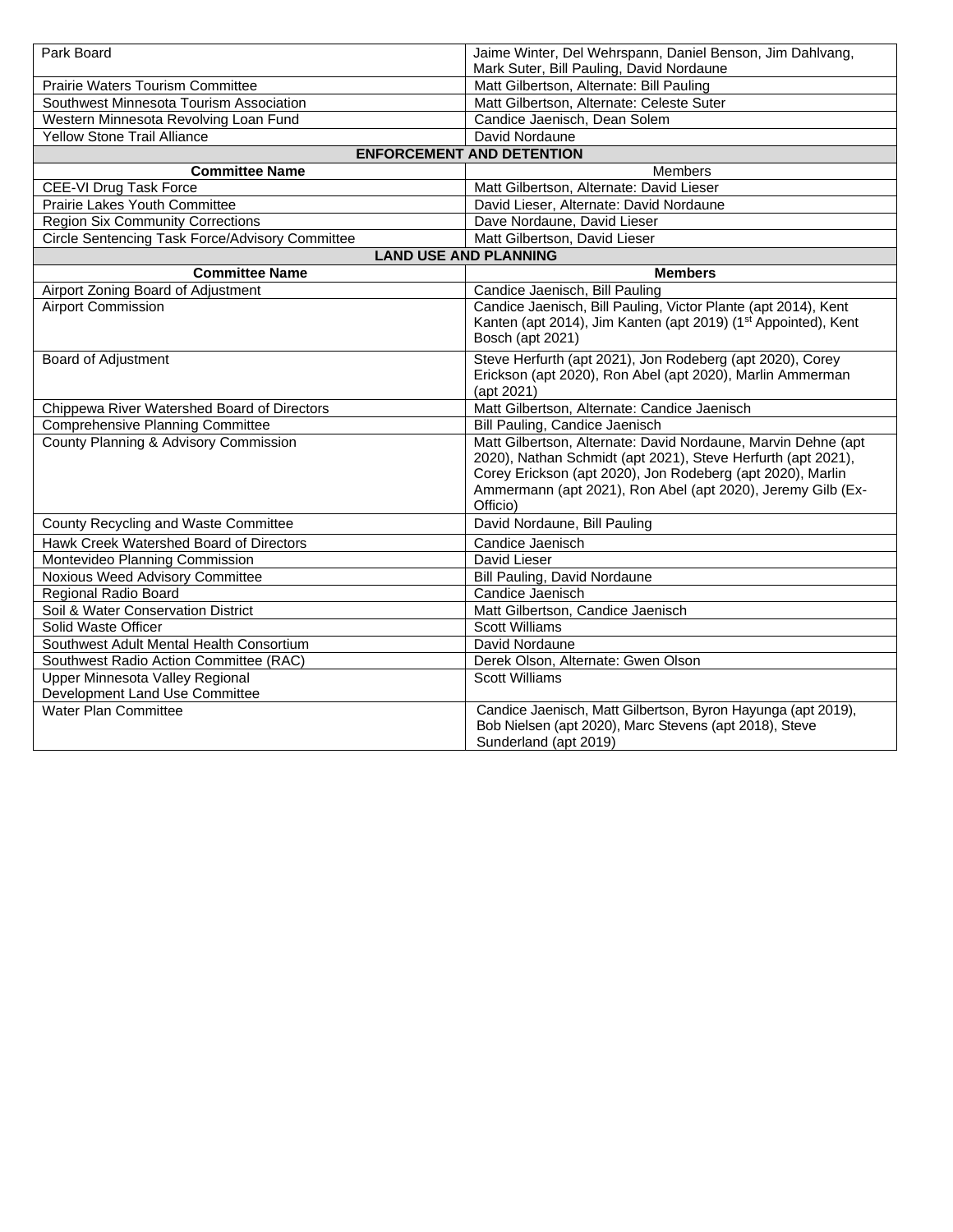| Park Board                                      | Jaime Winter, Del Wehrspann, Daniel Benson, Jim Dahlvang,<br>Mark Suter, Bill Pauling, David Nordaune                                                                                                                                                                  |
|-------------------------------------------------|------------------------------------------------------------------------------------------------------------------------------------------------------------------------------------------------------------------------------------------------------------------------|
| <b>Prairie Waters Tourism Committee</b>         | Matt Gilbertson, Alternate: Bill Pauling                                                                                                                                                                                                                               |
| Southwest Minnesota Tourism Association         | Matt Gilbertson, Alternate: Celeste Suter                                                                                                                                                                                                                              |
| Western Minnesota Revolving Loan Fund           | Candice Jaenisch, Dean Solem                                                                                                                                                                                                                                           |
| <b>Yellow Stone Trail Alliance</b>              | David Nordaune                                                                                                                                                                                                                                                         |
|                                                 | <b>ENFORCEMENT AND DETENTION</b>                                                                                                                                                                                                                                       |
| <b>Committee Name</b>                           | <b>Members</b>                                                                                                                                                                                                                                                         |
| CEE-VI Drug Task Force                          | Matt Gilbertson, Alternate: David Lieser                                                                                                                                                                                                                               |
| Prairie Lakes Youth Committee                   | David Lieser, Alternate: David Nordaune                                                                                                                                                                                                                                |
| <b>Region Six Community Corrections</b>         | Dave Nordaune, David Lieser                                                                                                                                                                                                                                            |
| Circle Sentencing Task Force/Advisory Committee | Matt Gilbertson, David Lieser                                                                                                                                                                                                                                          |
|                                                 | <b>LAND USE AND PLANNING</b>                                                                                                                                                                                                                                           |
| <b>Committee Name</b>                           | <b>Members</b>                                                                                                                                                                                                                                                         |
| Airport Zoning Board of Adjustment              | Candice Jaenisch, Bill Pauling                                                                                                                                                                                                                                         |
| <b>Airport Commission</b>                       | Candice Jaenisch, Bill Pauling, Victor Plante (apt 2014), Kent<br>Kanten (apt 2014), Jim Kanten (apt 2019) (1 <sup>st</sup> Appointed), Kent<br>Bosch (apt 2021)                                                                                                       |
| <b>Board of Adjustment</b>                      | Steve Herfurth (apt 2021), Jon Rodeberg (apt 2020), Corey<br>Erickson (apt 2020), Ron Abel (apt 2020), Marlin Ammerman<br>(apt 2021)                                                                                                                                   |
| Chippewa River Watershed Board of Directors     | Matt Gilbertson, Alternate: Candice Jaenisch                                                                                                                                                                                                                           |
| <b>Comprehensive Planning Committee</b>         | Bill Pauling, Candice Jaenisch                                                                                                                                                                                                                                         |
| County Planning & Advisory Commission           | Matt Gilbertson, Alternate: David Nordaune, Marvin Dehne (apt<br>2020), Nathan Schmidt (apt 2021), Steve Herfurth (apt 2021),<br>Corey Erickson (apt 2020), Jon Rodeberg (apt 2020), Marlin<br>Ammermann (apt 2021), Ron Abel (apt 2020), Jeremy Gilb (Ex-<br>Officio) |
| County Recycling and Waste Committee            | David Nordaune, Bill Pauling                                                                                                                                                                                                                                           |
| Hawk Creek Watershed Board of Directors         | Candice Jaenisch                                                                                                                                                                                                                                                       |
| Montevideo Planning Commission                  | David Lieser                                                                                                                                                                                                                                                           |
| Noxious Weed Advisory Committee                 | <b>Bill Pauling, David Nordaune</b>                                                                                                                                                                                                                                    |
| Regional Radio Board                            | Candice Jaenisch                                                                                                                                                                                                                                                       |
| Soil & Water Conservation District              | Matt Gilbertson, Candice Jaenisch                                                                                                                                                                                                                                      |
| Solid Waste Officer                             | <b>Scott Williams</b>                                                                                                                                                                                                                                                  |
| Southwest Adult Mental Health Consortium        | David Nordaune                                                                                                                                                                                                                                                         |
| Southwest Radio Action Committee (RAC)          | Derek Olson, Alternate: Gwen Olson                                                                                                                                                                                                                                     |
| Upper Minnesota Valley Regional                 | <b>Scott Williams</b>                                                                                                                                                                                                                                                  |
| Development Land Use Committee                  |                                                                                                                                                                                                                                                                        |
| <b>Water Plan Committee</b>                     | Candice Jaenisch, Matt Gilbertson, Byron Hayunga (apt 2019),<br>Bob Nielsen (apt 2020), Marc Stevens (apt 2018), Steve<br>Sunderland (apt 2019)                                                                                                                        |